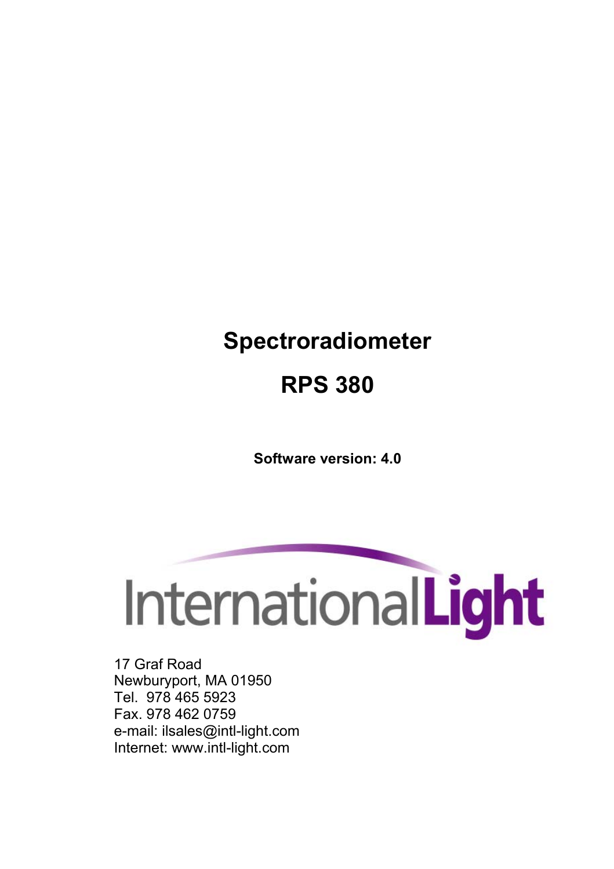# **Spectroradiometer**

# **RPS 380**

**Software version: 4.0** 



17 Graf Road Newburyport, MA 01950 Tel. 978 465 5923 Fax. 978 462 0759 e-mail: ilsales@intl-light.com Internet: www.intl-light.com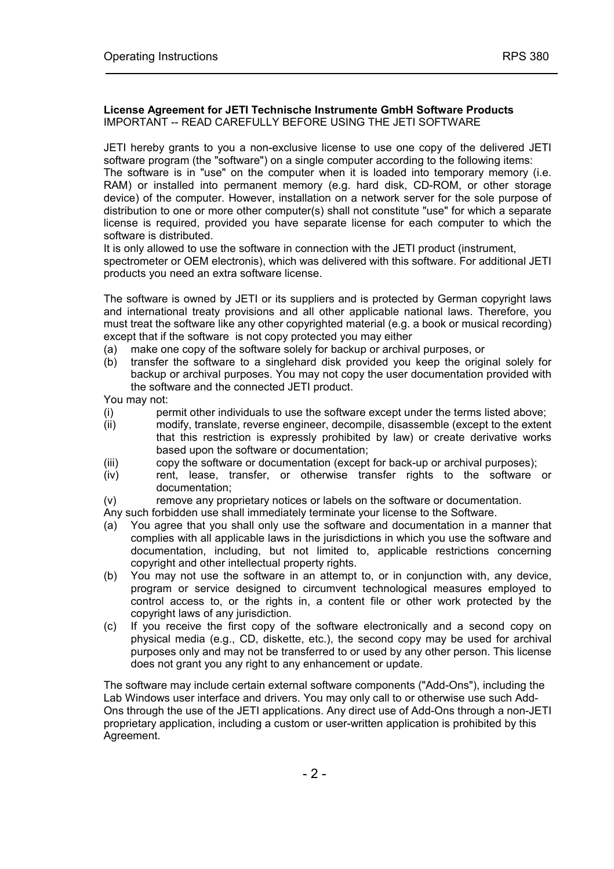#### **License Agreement for JETI Technische Instrumente GmbH Software Products** IMPORTANT -- READ CAREFULLY BEFORE USING THE JETI SOFTWARE

JETI hereby grants to you a non-exclusive license to use one copy of the delivered JETI software program (the "software") on a single computer according to the following items: The software is in "use" on the computer when it is loaded into temporary memory (i.e. RAM) or installed into permanent memory (e.g. hard disk, CD-ROM, or other storage device) of the computer. However, installation on a network server for the sole purpose of distribution to one or more other computer(s) shall not constitute "use" for which a separate license is required, provided you have separate license for each computer to which the software is distributed.

It is only allowed to use the software in connection with the JETI product (instrument, spectrometer or OEM electronis), which was delivered with this software. For additional JETI products you need an extra software license.

The software is owned by JETI or its suppliers and is protected by German copyright laws and international treaty provisions and all other applicable national laws. Therefore, you must treat the software like any other copyrighted material (e.g. a book or musical recording) except that if the software is not copy protected you may either

- (a) make one copy of the software solely for backup or archival purposes, or
- (b) transfer the software to a singlehard disk provided you keep the original solely for backup or archival purposes. You may not copy the user documentation provided with the software and the connected JETI product.

You may not:

- (i) permit other individuals to use the software except under the terms listed above;
- (ii) modify, translate, reverse engineer, decompile, disassemble (except to the extent that this restriction is expressly prohibited by law) or create derivative works based upon the software or documentation;
- (iii) copy the software or documentation (except for back-up or archival purposes);
- (iv) rent, lease, transfer, or otherwise transfer rights to the software or documentation;
- (v) remove any proprietary notices or labels on the software or documentation.

Any such forbidden use shall immediately terminate your license to the Software.

- (a) You agree that you shall only use the software and documentation in a manner that complies with all applicable laws in the jurisdictions in which you use the software and documentation, including, but not limited to, applicable restrictions concerning copyright and other intellectual property rights.
- (b) You may not use the software in an attempt to, or in conjunction with, any device, program or service designed to circumvent technological measures employed to control access to, or the rights in, a content file or other work protected by the copyright laws of any jurisdiction.
- (c) If you receive the first copy of the software electronically and a second copy on physical media (e.g., CD, diskette, etc.), the second copy may be used for archival purposes only and may not be transferred to or used by any other person. This license does not grant you any right to any enhancement or update.

The software may include certain external software components ("Add-Ons"), including the Lab Windows user interface and drivers. You may only call to or otherwise use such Add-Ons through the use of the JETI applications. Any direct use of Add-Ons through a non-JETI proprietary application, including a custom or user-written application is prohibited by this Agreement.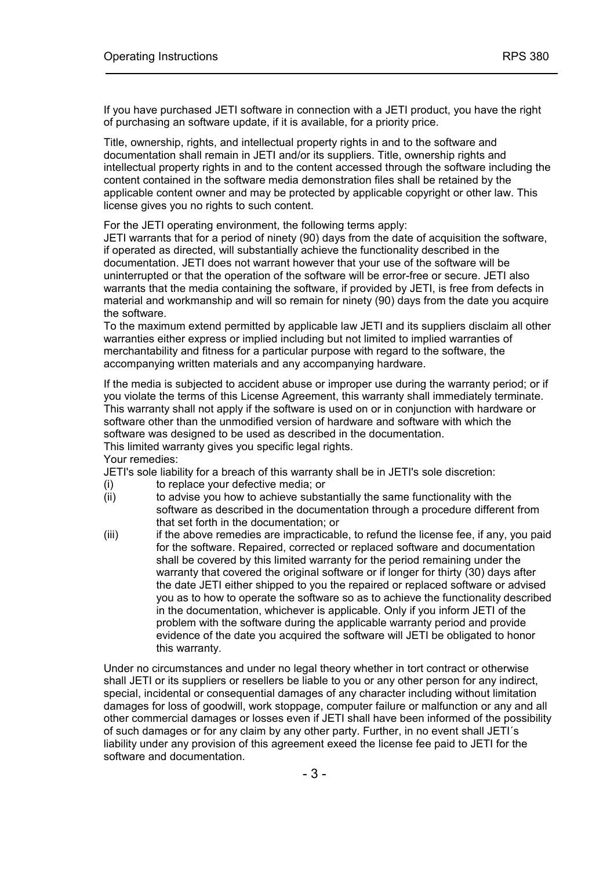If you have purchased JETI software in connection with a JETI product, you have the right of purchasing an software update, if it is available, for a priority price.

Title, ownership, rights, and intellectual property rights in and to the software and documentation shall remain in JETI and/or its suppliers. Title, ownership rights and intellectual property rights in and to the content accessed through the software including the content contained in the software media demonstration files shall be retained by the applicable content owner and may be protected by applicable copyright or other law. This license gives you no rights to such content.

For the JETI operating environment, the following terms apply:

JETI warrants that for a period of ninety (90) days from the date of acquisition the software, if operated as directed, will substantially achieve the functionality described in the documentation. JETI does not warrant however that your use of the software will be uninterrupted or that the operation of the software will be error-free or secure. JETI also warrants that the media containing the software, if provided by JETI, is free from defects in material and workmanship and will so remain for ninety (90) days from the date you acquire the software.

To the maximum extend permitted by applicable law JETI and its suppliers disclaim all other warranties either express or implied including but not limited to implied warranties of merchantability and fitness for a particular purpose with regard to the software, the accompanying written materials and any accompanying hardware.

If the media is subjected to accident abuse or improper use during the warranty period; or if you violate the terms of this License Agreement, this warranty shall immediately terminate. This warranty shall not apply if the software is used on or in conjunction with hardware or software other than the unmodified version of hardware and software with which the software was designed to be used as described in the documentation. This limited warranty gives you specific legal rights.

Your remedies:

JETI's sole liability for a breach of this warranty shall be in JETI's sole discretion:

- (i) to replace your defective media; or<br>(ii) to advise you how to achieve subst
- to advise you how to achieve substantially the same functionality with the software as described in the documentation through a procedure different from that set forth in the documentation; or
- (iii) if the above remedies are impracticable, to refund the license fee, if any, you paid for the software. Repaired, corrected or replaced software and documentation shall be covered by this limited warranty for the period remaining under the warranty that covered the original software or if longer for thirty (30) days after the date JETI either shipped to you the repaired or replaced software or advised you as to how to operate the software so as to achieve the functionality described in the documentation, whichever is applicable. Only if you inform JETI of the problem with the software during the applicable warranty period and provide evidence of the date you acquired the software will JETI be obligated to honor this warranty.

Under no circumstances and under no legal theory whether in tort contract or otherwise shall JETI or its suppliers or resellers be liable to you or any other person for any indirect, special, incidental or consequential damages of any character including without limitation damages for loss of goodwill, work stoppage, computer failure or malfunction or any and all other commercial damages or losses even if JETI shall have been informed of the possibility of such damages or for any claim by any other party. Further, in no event shall JETI's liability under any provision of this agreement exeed the license fee paid to JETI for the software and documentation.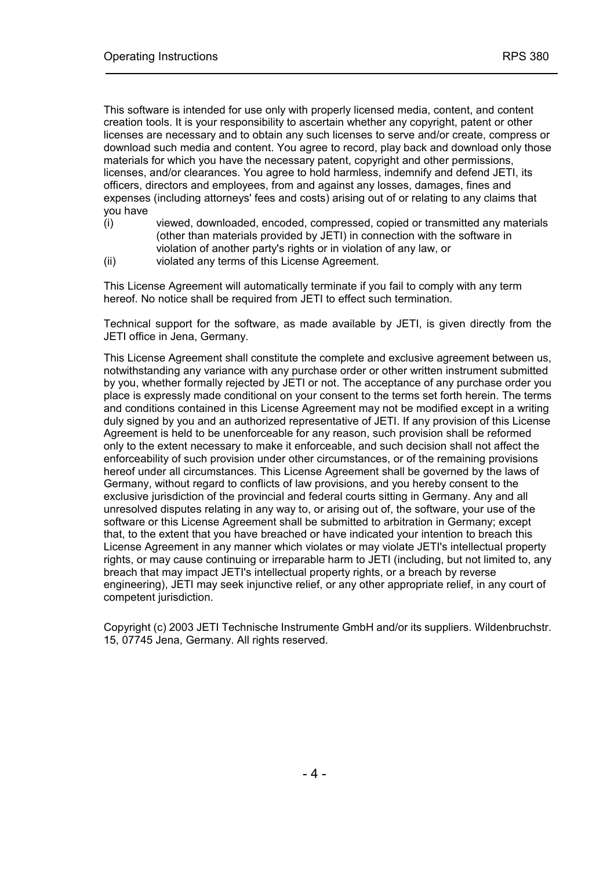This software is intended for use only with properly licensed media, content, and content creation tools. It is your responsibility to ascertain whether any copyright, patent or other licenses are necessary and to obtain any such licenses to serve and/or create, compress or download such media and content. You agree to record, play back and download only those materials for which you have the necessary patent, copyright and other permissions, licenses, and/or clearances. You agree to hold harmless, indemnify and defend JETI, its officers, directors and employees, from and against any losses, damages, fines and expenses (including attorneys' fees and costs) arising out of or relating to any claims that you have

- (i) viewed, downloaded, encoded, compressed, copied or transmitted any materials (other than materials provided by JETI) in connection with the software in violation of another party's rights or in violation of any law, or
- (ii) violated any terms of this License Agreement.

This License Agreement will automatically terminate if you fail to comply with any term hereof. No notice shall be required from JETI to effect such termination.

Technical support for the software, as made available by JETI, is given directly from the JETI office in Jena, Germany.

This License Agreement shall constitute the complete and exclusive agreement between us, notwithstanding any variance with any purchase order or other written instrument submitted by you, whether formally rejected by JETI or not. The acceptance of any purchase order you place is expressly made conditional on your consent to the terms set forth herein. The terms and conditions contained in this License Agreement may not be modified except in a writing duly signed by you and an authorized representative of JETI. If any provision of this License Agreement is held to be unenforceable for any reason, such provision shall be reformed only to the extent necessary to make it enforceable, and such decision shall not affect the enforceability of such provision under other circumstances, or of the remaining provisions hereof under all circumstances. This License Agreement shall be governed by the laws of Germany, without regard to conflicts of law provisions, and you hereby consent to the exclusive jurisdiction of the provincial and federal courts sitting in Germany. Any and all unresolved disputes relating in any way to, or arising out of, the software, your use of the software or this License Agreement shall be submitted to arbitration in Germany; except that, to the extent that you have breached or have indicated your intention to breach this License Agreement in any manner which violates or may violate JETI's intellectual property rights, or may cause continuing or irreparable harm to JETI (including, but not limited to, any breach that may impact JETI's intellectual property rights, or a breach by reverse engineering), JETI may seek injunctive relief, or any other appropriate relief, in any court of competent jurisdiction.

Copyright (c) 2003 JETI Technische Instrumente GmbH and/or its suppliers. Wildenbruchstr. 15, 07745 Jena, Germany. All rights reserved.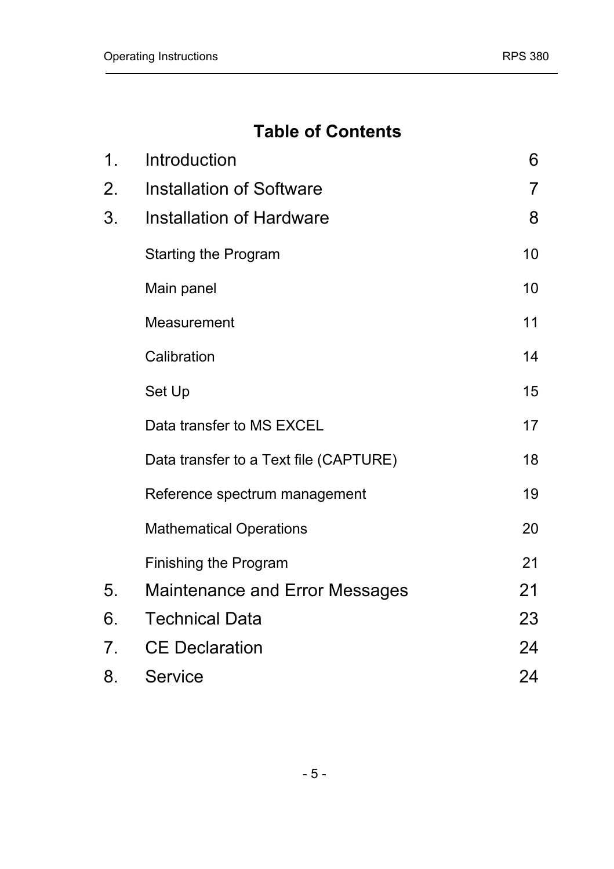## **Table of Contents**

| 1. | Introduction                           | 6  |
|----|----------------------------------------|----|
| 2. | Installation of Software               | 7  |
| 3. | Installation of Hardware               | 8  |
|    | Starting the Program                   | 10 |
|    | Main panel                             | 10 |
|    | Measurement                            | 11 |
|    | Calibration                            | 14 |
|    | Set Up                                 | 15 |
|    | Data transfer to MS EXCEL              | 17 |
|    | Data transfer to a Text file (CAPTURE) | 18 |
|    | Reference spectrum management          | 19 |
|    | <b>Mathematical Operations</b>         | 20 |
|    | Finishing the Program                  | 21 |
| 5. | Maintenance and Error Messages         | 21 |
| 6. | <b>Technical Data</b>                  | 23 |
| 7. | <b>CE Declaration</b>                  | 24 |
| 8. | Service                                | 24 |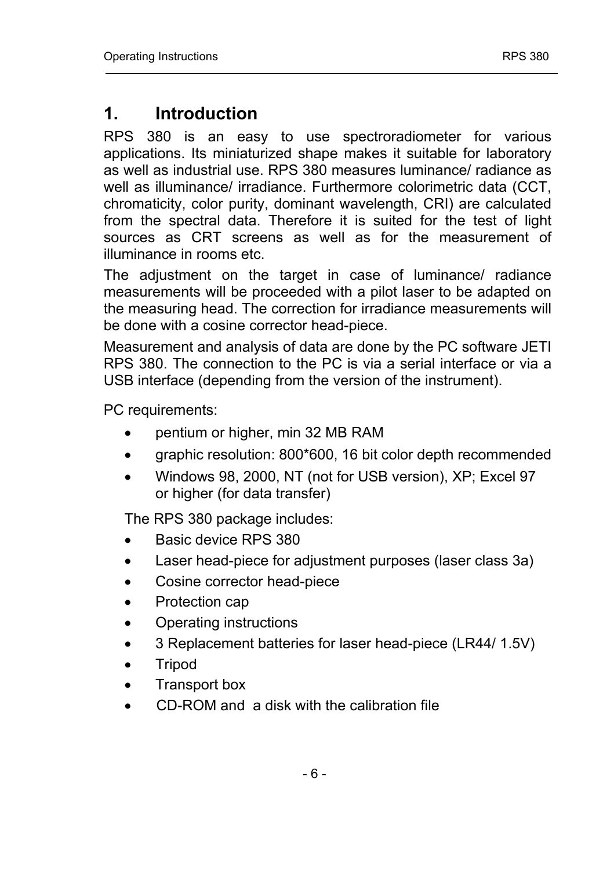## <span id="page-5-0"></span>**1. Introduction**

RPS 380 is an easy to use spectroradiometer for various applications. Its miniaturized shape makes it suitable for laboratory as well as industrial use. RPS 380 measures luminance/ radiance as well as illuminance/ irradiance. Furthermore colorimetric data (CCT, chromaticity, color purity, dominant wavelength, CRI) are calculated from the spectral data. Therefore it is suited for the test of light sources as CRT screens as well as for the measurement of illuminance in rooms etc.

The adjustment on the target in case of luminance/ radiance measurements will be proceeded with a pilot laser to be adapted on the measuring head. The correction for irradiance measurements will be done with a cosine corrector head-piece.

Measurement and analysis of data are done by the PC software JETI RPS 380. The connection to the PC is via a serial interface or via a USB interface (depending from the version of the instrument).

PC requirements:

- pentium or higher, min 32 MB RAM
- graphic resolution: 800\*600, 16 bit color depth recommended
- Windows 98, 2000, NT (not for USB version), XP; Excel 97 or higher (for data transfer)

The RPS 380 package includes:

- Basic device RPS 380
- Laser head-piece for adjustment purposes (laser class 3a)
- Cosine corrector head-piece
- Protection cap
- Operating instructions
- 3 Replacement batteries for laser head-piece (LR44/ 1.5V)
- Tripod
- Transport box
- CD-ROM and a disk with the calibration file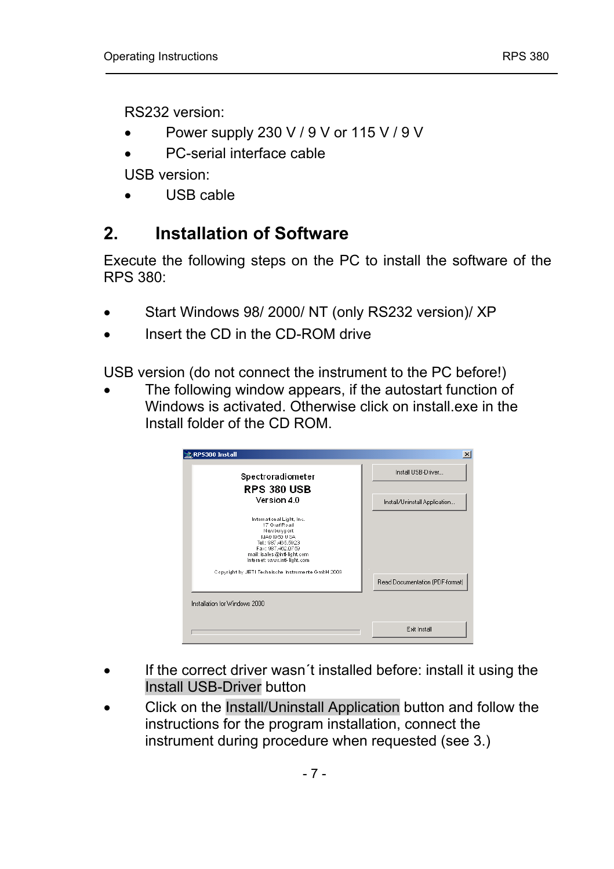<span id="page-6-0"></span>RS232 version:

- Power supply 230 V / 9 V or 115 V / 9 V
- PC-serial interface cable

USB version:

• USB cable

## **2. Installation of Software**

Execute the following steps on the PC to install the software of the RPS 380:

- Start Windows 98/ 2000/ NT (only RS232 version)/ XP
- Insert the CD in the CD-ROM drive

USB version (do not connect the instrument to the PC before!)

The following window appears, if the autostart function of Windows is activated. Otherwise click on install.exe in the Install folder of the CD ROM.

| RPS380 Install                                                                                                                                                                                                                                                                 | $\vert x \vert$                 |
|--------------------------------------------------------------------------------------------------------------------------------------------------------------------------------------------------------------------------------------------------------------------------------|---------------------------------|
| Spectroradiometer                                                                                                                                                                                                                                                              | Install USB-Driver              |
| <b>RPS 380 USB</b>                                                                                                                                                                                                                                                             |                                 |
| Version 4.0                                                                                                                                                                                                                                                                    | Install/Uninstall Application   |
| International Light, Inc.<br>17 Graf Road<br>Newburyport<br>MAD 19/91 U.SA<br>Tel: 987-465.5923<br>Fax: 987-462-0759<br>mail: is a les @intl-light, com<br>Internet: www.intl-light.com<br>Copyright by JETI Technische Instrumente GmbH 2003<br>Installation for Windows 2000 | Read Documentation (PDF-format) |
|                                                                                                                                                                                                                                                                                | <b>Fxit Install</b>             |

- If the correct driver wasn't installed before: install it using the Install USB-Driver button
- Click on the Install/Uninstall Application button and follow the instructions for the program installation, connect the instrument during procedure when requested (see 3.)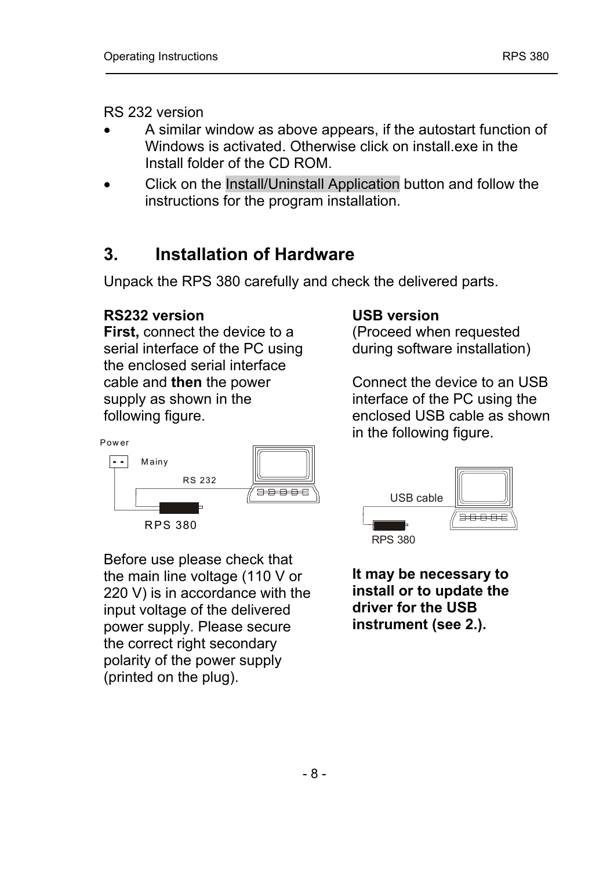<span id="page-7-0"></span>RS 232 version

- A similar window as above appears, if the autostart function of Windows is activated. Otherwise click on install.exe in the Install folder of the CD ROM.
- Click on the Install/Uninstall Application button and follow the instructions for the program installation.

## **3. Installation of Hardware**

Unpack the RPS 380 carefully and check the delivered parts.

### **RS232 version**

**First,** connect the device to a serial interface of the PC using the enclosed serial interface cable and **then** the power supply as shown in the following figure.



(Proceed when requested during software installation)

Connect the device to an USB interface of the PC using the enclosed USB cable as shown Power **Example 2 and Taylor Science 2 and Taylor Science 2 and Taylor Science 2 and Taylor Science 2 and Taylor** 



Before use please check that the main line voltage (110 V or 220 V) is in accordance with the input voltage of the delivered power supply. Please secure the correct right secondary polarity of the power supply (printed on the plug).



**It may be necessary to install or to update the driver for the USB instrument (see 2.).**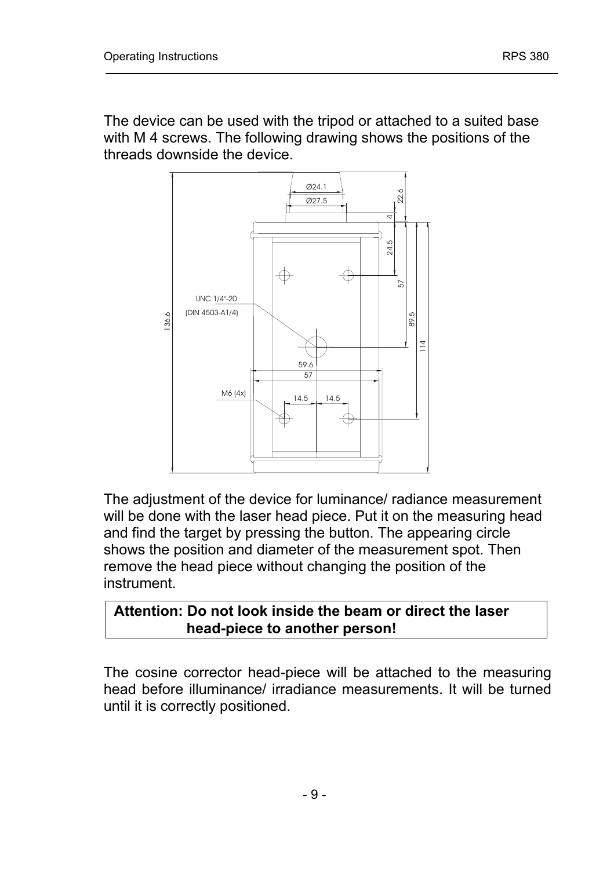The device can be used with the tripod or attached to a suited base with M 4 screws. The following drawing shows the positions of the threads downside the device.



The adjustment of the device for luminance/ radiance measurement will be done with the laser head piece. Put it on the measuring head and find the target by pressing the button. The appearing circle shows the position and diameter of the measurement spot. Then remove the head piece without changing the position of the instrument.

#### **Attention: Do not look inside the beam or direct the laser head-piece to another person!**

The cosine corrector head-piece will be attached to the measuring head before illuminance/ irradiance measurements. It will be turned until it is correctly positioned.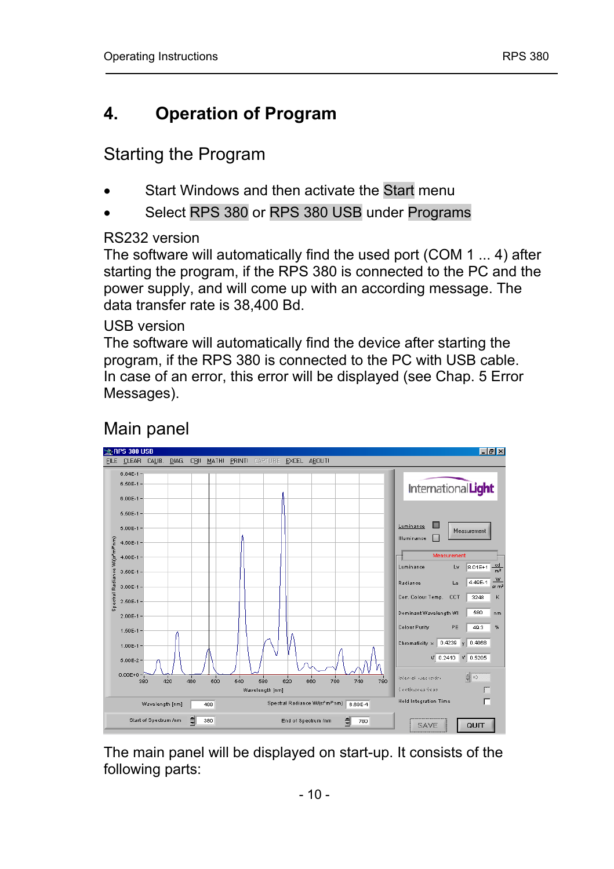## <span id="page-9-0"></span>**4. Operation of Program**

## Starting the Program

- Start Windows and then activate the Start menu
- Select RPS 380 or RPS 380 USB under Programs

#### RS232 version

The software will automatically find the used port (COM 1 ... 4) after starting the program, if the RPS 380 is connected to the PC and the power supply, and will come up with an according message. The data transfer rate is 38,400 Bd.

#### USB version

The software will automatically find the device after starting the program, if the RPS 380 is connected to the PC with USB cable. In case of an error, this error will be displayed (see Chap. 5 Error Messages).

#### **RPS 380 USB**  $\Box$ e $\mathbf{X}$ FILE CLEAR CALIB. DIAG. CRII MATHI PRINTI CAPTURE EXCEL ABOUT 6.94E-1 6.50E-1 InternationalLight 6.005-1 5.50E-1  $Luminance$ 5.005.4 Measurement  $M$ uminance  $\Box$ 4.50E-1 Ŧ  $4.00E-1$ Luminance Lv  $\boxed{8.01E+1}$  od 3.50E-1 Le  $4.49E-1$ Radiance  $20054$ Con. Colour Temp. CCT 3248 2.50E-1 Dominant Wavelength WI 680 nm  $2.005.4$ Colour Purity, P.E. 402 %  $4.505.4$ Chromaticity  $\times$  0.4239 y 0.4068 1.00E-1  $v'$  0.2410  $v'$  0.6205 5.00E-2 h  $0.00E + 0 = 0.080$  $\frac{1}{2}$  io Inferent concenter  $\frac{1}{420}$  $480$ son  $540$ 580  $520$  $660$  $700$  $740$  $780$ Continuous Sean Wavelength [nm]  $\Box$ Hold Integration Time Spectral Radiance W/(sr<sup>x</sup>nm<sup>x</sup>nm) 6.69E-4 Wavelength [nm]  $-498$ Start of Spectrum /nm = 380 End of Spectrum /nm  $780$ SAVE QUIT

## Main panel

The main panel will be displayed on start-up. It consists of the following parts: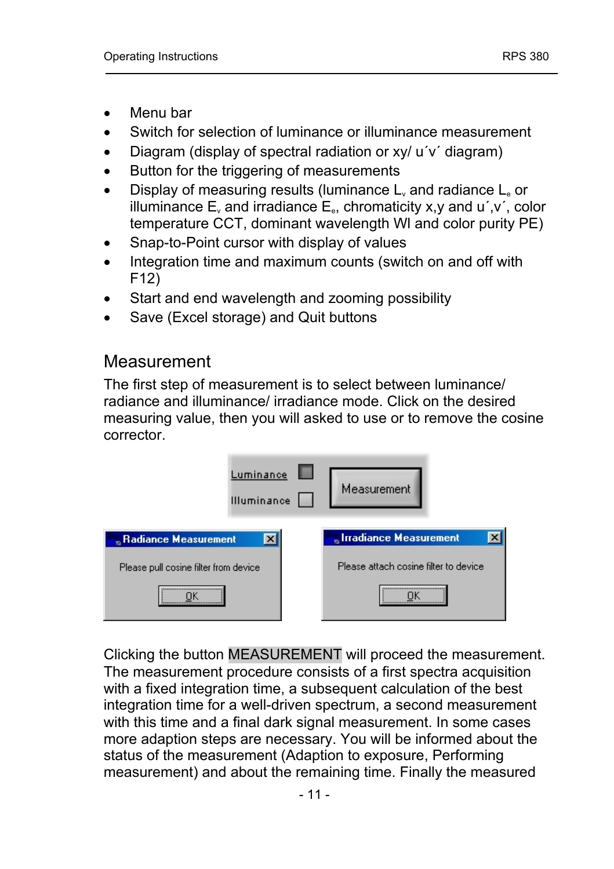- <span id="page-10-0"></span>• Menu bar
- Switch for selection of luminance or illuminance measurement
- Diagram (display of spectral radiation or xy/ u'v' diagram)
- Button for the triggering of measurements
- Display of measuring results (luminance  $L<sub>v</sub>$  and radiance  $L<sub>e</sub>$  or illuminance  $E_y$  and irradiance  $E_e$ , chromaticity x,y and u',v', color temperature CCT, dominant wavelength Wl and color purity PE)
- Snap-to-Point cursor with display of values
- Integration time and maximum counts (switch on and off with F12)
- Start and end wavelength and zooming possibility
- Save (Excel storage) and Quit buttons

## Measurement

The first step of measurement is to select between luminance/ radiance and illuminance/ irradiance mode. Click on the desired measuring value, then you will asked to use or to remove the cosine corrector.

| Luminance<br>Illuminance                       | Measurement                             |
|------------------------------------------------|-----------------------------------------|
| $\vert x \vert$<br><b>Radiance Measurement</b> | <b>Miller International Measurement</b> |
| Please pull cosine filter from device          | Please attach cosine filter to device   |
| <br><del></del>                                | <br>                                    |

Clicking the button MEASUREMENT will proceed the measurement. The measurement procedure consists of a first spectra acquisition with a fixed integration time, a subsequent calculation of the best integration time for a well-driven spectrum, a second measurement with this time and a final dark signal measurement. In some cases more adaption steps are necessary. You will be informed about the status of the measurement (Adaption to exposure, Performing measurement) and about the remaining time. Finally the measured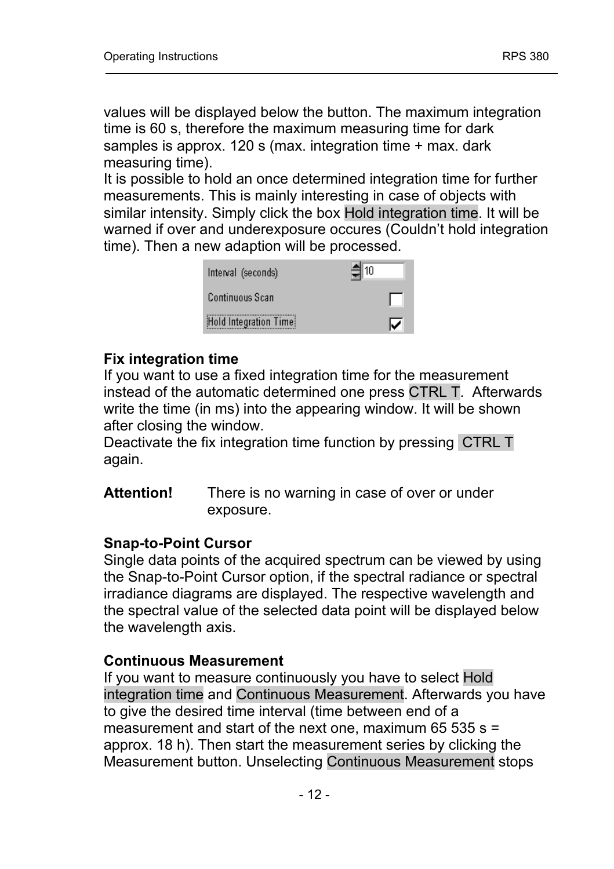values will be displayed below the button. The maximum integration time is 60 s, therefore the maximum measuring time for dark samples is approx. 120 s (max. integration time + max. dark measuring time).

It is possible to hold an once determined integration time for further measurements. This is mainly interesting in case of objects with similar intensity. Simply click the box Hold integration time. It will be warned if over and underexposure occures (Couldn't hold integration time). Then a new adaption will be processed.

| Interval (seconds)    | $\frac{2}{3}$ 10 |
|-----------------------|------------------|
| Continuous Scan       |                  |
| Hold Integration Time |                  |

#### **Fix integration time**

If you want to use a fixed integration time for the measurement instead of the automatic determined one press CTRL T. Afterwards write the time (in ms) into the appearing window. It will be shown after closing the window.

Deactivate the fix integration time function by pressing CTRL T again.

**Attention!** There is no warning in case of over or under exposure.

#### **Snap-to-Point Cursor**

Single data points of the acquired spectrum can be viewed by using the Snap-to-Point Cursor option, if the spectral radiance or spectral irradiance diagrams are displayed. The respective wavelength and the spectral value of the selected data point will be displayed below the wavelength axis.

#### **Continuous Measurement**

If you want to measure continuously you have to select Hold integration time and Continuous Measurement. Afterwards you have to give the desired time interval (time between end of a measurement and start of the next one, maximum 65 535 s = approx. 18 h). Then start the measurement series by clicking the Measurement button. Unselecting Continuous Measurement stops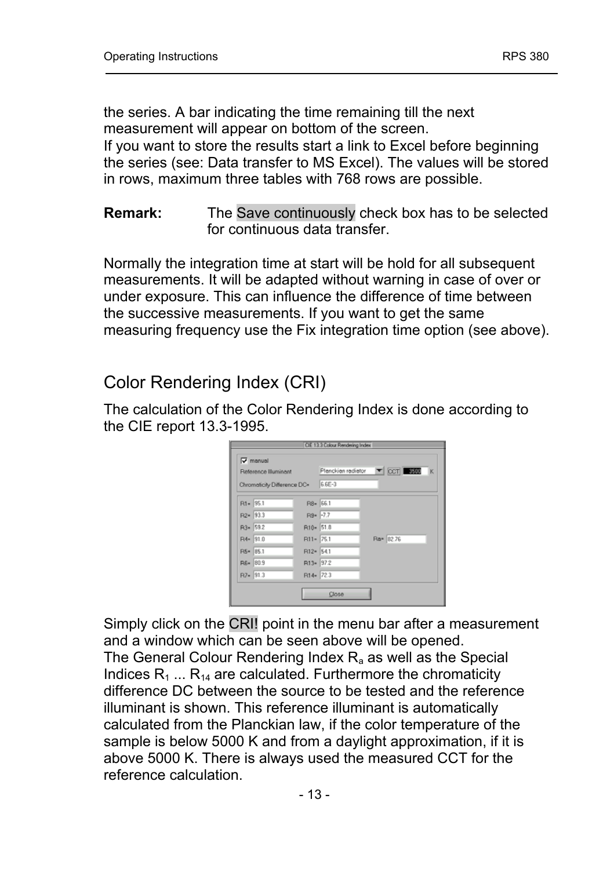the series. A bar indicating the time remaining till the next measurement will appear on bottom of the screen.

If you want to store the results start a link to Excel before beginning the series (see: Data transfer to MS Excel). The values will be stored in rows, maximum three tables with 768 rows are possible.

#### **Remark:** The Save continuously check box has to be selected for continuous data transfer.

Normally the integration time at start will be hold for all subsequent measurements. It will be adapted without warning in case of over or under exposure. This can influence the difference of time between the successive measurements. If you want to get the same measuring frequency use the Fix integration time option (see above).

## Color Rendering Index (CRI)

The calculation of the Color Rendering Index is done according to the CIE report 13.3-1995.

| $\nabla$ manual       |                             |        |                                  |  |
|-----------------------|-----------------------------|--------|----------------------------------|--|
| Reference Illuminant  |                             |        | Plenckien redietor T CCT SHILL K |  |
|                       | Chromaticity Difference DC= | 6.6E-3 |                                  |  |
| R1= 95.1              | R8= 66.1                    |        |                                  |  |
| R <sub>2</sub> = 93.3 | R9= -7.7                    |        |                                  |  |
| R3= 59.2              | R10- 51.8                   |        |                                  |  |
| R4= 91.0              | R11-75.1                    |        | Ra= 82.76                        |  |
| R5= 85.1              | R12- 54.1                   |        |                                  |  |
| R6= 80.9              | R13- 97.2                   |        |                                  |  |
| $R7 = 91.3$           | R14-723                     |        |                                  |  |
|                       |                             | Close  |                                  |  |

Simply click on the CRI! point in the menu bar after a measurement and a window which can be seen above will be opened.

The General Colour Rendering Index  $R_a$  as well as the Special Indices  $R_1$  ...  $R_{14}$  are calculated. Furthermore the chromaticity difference DC between the source to be tested and the reference illuminant is shown. This reference illuminant is automatically calculated from the Planckian law, if the color temperature of the sample is below 5000 K and from a daylight approximation, if it is above 5000 K. There is always used the measured CCT for the reference calculation.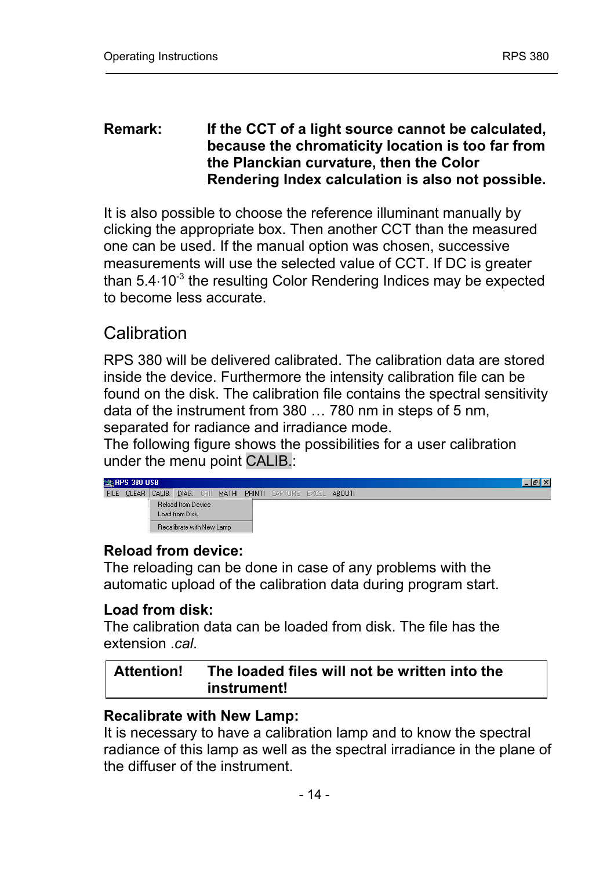#### <span id="page-13-0"></span>**Remark: If the CCT of a light source cannot be calculated, because the chromaticity location is too far from the Planckian curvature, then the Color Rendering Index calculation is also not possible.**

It is also possible to choose the reference illuminant manually by clicking the appropriate box. Then another CCT than the measured one can be used. If the manual option was chosen, successive measurements will use the selected value of CCT. If DC is greater than 5.4⋅10<sup>-3</sup> the resulting Color Rendering Indices may be expected to become less accurate.

## Calibration

RPS 380 will be delivered calibrated. The calibration data are stored inside the device. Furthermore the intensity calibration file can be found on the disk. The calibration file contains the spectral sensitivity data of the instrument from  $380...780$  nm in steps of 5 nm, separated for radiance and irradiance mode.

The following figure shows the possibilities for a user calibration under the menu point CALIB.:

| <b>EX RPS 380 USB</b> |                           |  |  | $-10$ $\times$                                                 |
|-----------------------|---------------------------|--|--|----------------------------------------------------------------|
|                       |                           |  |  | FILE CLEAR CALIB. DIAG. CRII MATH! PRINT! CAPTURE EXCEL ABOUT! |
|                       | <b>Reload from Device</b> |  |  |                                                                |
|                       | Load from Disk            |  |  |                                                                |
|                       | Becalibrate with New Lamp |  |  |                                                                |

### **Reload from device:**

The reloading can be done in case of any problems with the automatic upload of the calibration data during program start.

### **Load from disk:**

The calibration data can be loaded from disk. The file has the extension .*cal*.

**Attention! The loaded files will not be written into the instrument!** 

### **Recalibrate with New Lamp:**

It is necessary to have a calibration lamp and to know the spectral radiance of this lamp as well as the spectral irradiance in the plane of the diffuser of the instrument.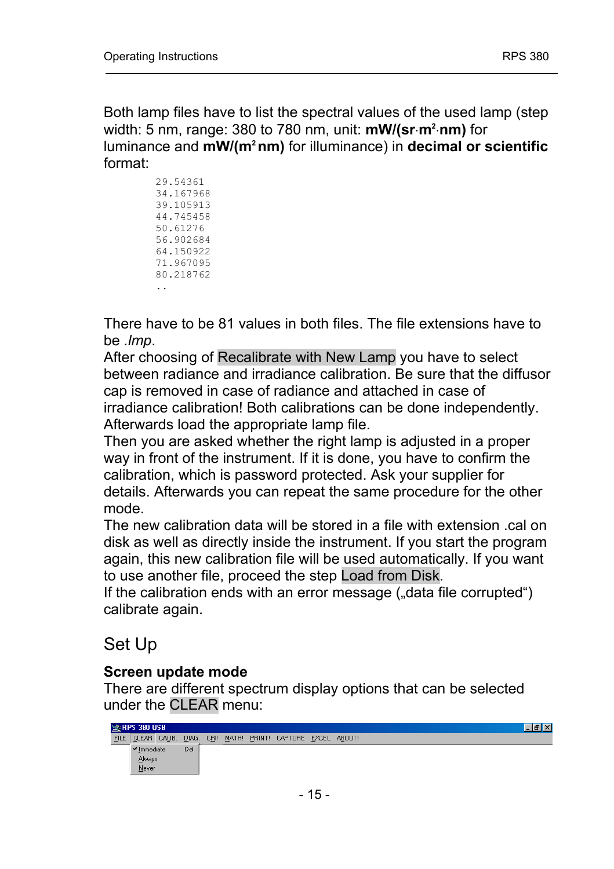<span id="page-14-0"></span>Both lamp files have to list the spectral values of the used lamp (step width: 5 nm, range: 380 to 780 nm, unit: **mW/(sr**⋅**m2** ⋅**nm)** for luminance and **mW/(m2 nm)** for illuminance) in **decimal or scientific** format:

> 29.54361 34.167968 39.105913 44.745458 50.61276 56.902684 64.150922 71.967095 80.218762 ..

There have to be 81 values in both files. The file extensions have to be *.lmp*.

After choosing of Recalibrate with New Lamp you have to select between radiance and irradiance calibration. Be sure that the diffusor cap is removed in case of radiance and attached in case of irradiance calibration! Both calibrations can be done independently. Afterwards load the appropriate lamp file.

Then you are asked whether the right lamp is adjusted in a proper way in front of the instrument. If it is done, you have to confirm the calibration, which is password protected. Ask your supplier for details. Afterwards you can repeat the same procedure for the other mode.

The new calibration data will be stored in a file with extension .cal on disk as well as directly inside the instrument. If you start the program again, this new calibration file will be used automatically. If you want to use another file, proceed the step Load from Disk.

If the calibration ends with an error message ("data file corrupted") calibrate again.

## Set Up

### **Screen update mode**

There are different spectrum display options that can be selected under the CLEAR menu:

| RPS 380 USB                     |       |  |                                        |  |  |  | . 18 x |
|---------------------------------|-------|--|----------------------------------------|--|--|--|--------|
| FILE CLEAR CALIB.               | DIAG. |  | CBI! MATH! PRINT! CAPTURE EXCEL ABOUT! |  |  |  |        |
| $\blacktriangleright$ Immediate | Del   |  |                                        |  |  |  |        |
| Always                          |       |  |                                        |  |  |  |        |
| Never                           |       |  |                                        |  |  |  |        |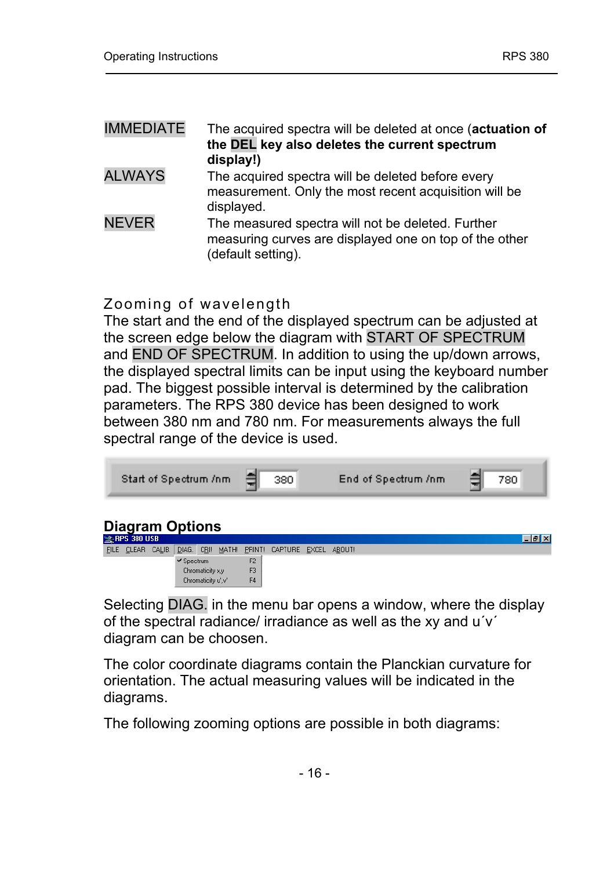| <b>IMMEDIATE</b> | The acquired spectra will be deleted at once (actuation of<br>the DEL key also deletes the current spectrum<br>display!)          |
|------------------|-----------------------------------------------------------------------------------------------------------------------------------|
| <b>ALWAYS</b>    | The acquired spectra will be deleted before every<br>measurement. Only the most recent acquisition will be<br>displayed.          |
| <b>NEVER</b>     | The measured spectra will not be deleted. Further<br>measuring curves are displayed one on top of the other<br>(default setting). |

#### Zooming of wavelength

The start and the end of the displayed spectrum can be adjusted at the screen edge below the diagram with START OF SPECTRUM and END OF SPECTRUM. In addition to using the up/down arrows, the displayed spectral limits can be input using the keyboard number pad. The biggest possible interval is determined by the calibration parameters. The RPS 380 device has been designed to work between 380 nm and 780 nm. For measurements always the full spectral range of the device is used.

| Start of Spectrum /nm | 380 | End of Spectrum /nm | 780. |
|-----------------------|-----|---------------------|------|
|                       |     |                     |      |



Selecting DIAG. in the menu bar opens a window, where the display of the spectral radiance/ irradiance as well as the xy and  $u'v'$ diagram can be choosen.

The color coordinate diagrams contain the Planckian curvature for orientation. The actual measuring values will be indicated in the diagrams.

The following zooming options are possible in both diagrams: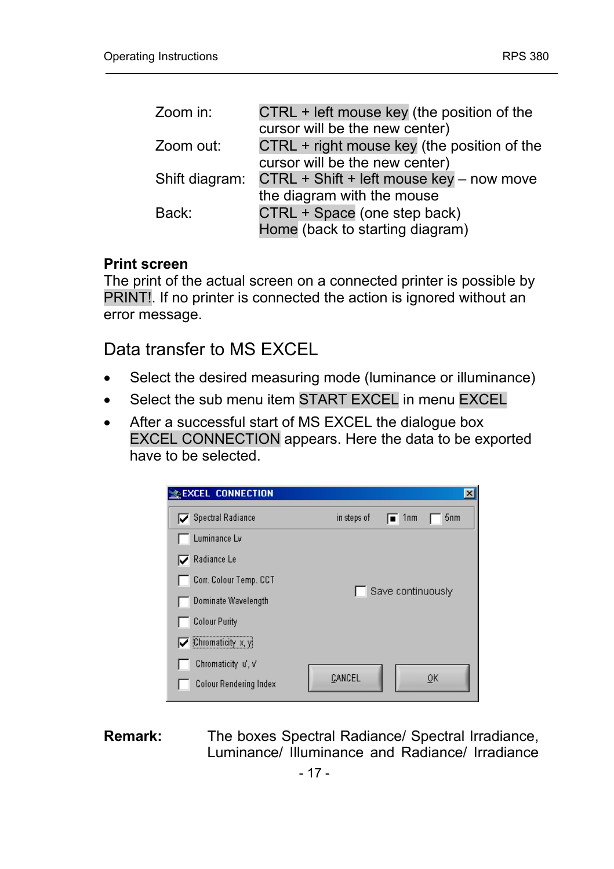<span id="page-16-0"></span>

| CTRL + left mouse key (the position of the  |
|---------------------------------------------|
| cursor will be the new center)              |
| CTRL + right mouse key (the position of the |
| cursor will be the new center)              |
| CTRL + Shift + left mouse key - now move    |
| the diagram with the mouse                  |
| CTRL + Space (one step back)                |
| Home (back to starting diagram)             |
|                                             |

#### **Print screen**

The print of the actual screen on a connected printer is possible by PRINT!. If no printer is connected the action is ignored without an error message.

Data transfer to MS EXCEL

- Select the desired measuring mode (luminance or illuminance)
- Select the sub menu item START EXCEL in menu EXCEL
- After a successful start of MS EXCEL the dialogue box EXCEL CONNECTION appears. Here the data to be exported have to be selected.



**Remark:** The boxes Spectral Radiance/ Spectral Irradiance, Luminance/ Illuminance and Radiance/ Irradiance

- 17 -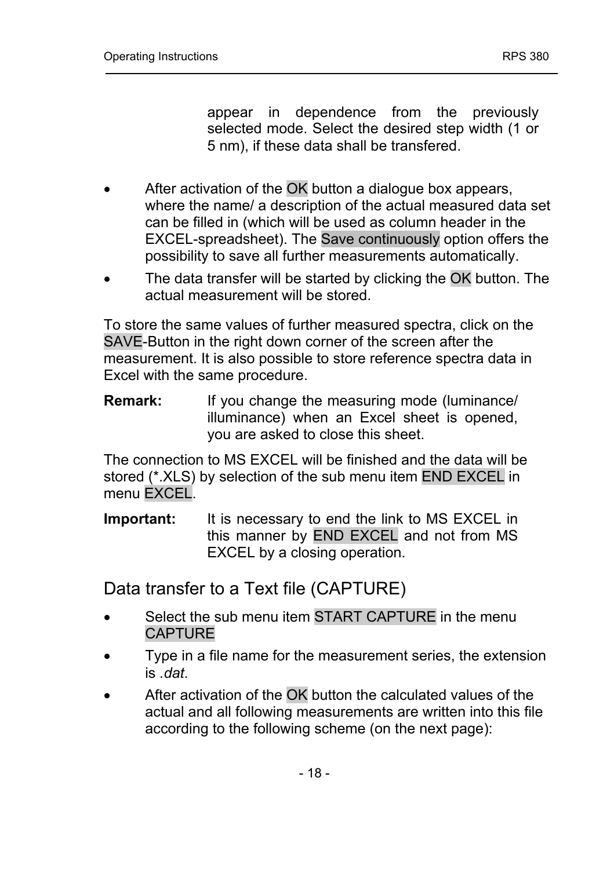appear in dependence from the previously selected mode. Select the desired step width (1 or 5 nm), if these data shall be transfered.

- <span id="page-17-0"></span>After activation of the OK button a dialogue box appears, where the name/ a description of the actual measured data set can be filled in (which will be used as column header in the EXCEL-spreadsheet). The Save continuously option offers the possibility to save all further measurements automatically.
- The data transfer will be started by clicking the OK button. The actual measurement will be stored.

To store the same values of further measured spectra, click on the SAVE-Button in the right down corner of the screen after the measurement. It is also possible to store reference spectra data in Excel with the same procedure.

**Remark:** If you change the measuring mode (luminance/ illuminance) when an Excel sheet is opened, you are asked to close this sheet.

The connection to MS EXCEL will be finished and the data will be stored (\*.XLS) by selection of the sub menu item END EXCEL in menu EXCEL.

**Important:** It is necessary to end the link to MS EXCEL in this manner by END EXCEL and not from MS EXCEL by a closing operation.

Data transfer to a Text file (CAPTURE)

- Select the sub menu item START CAPTURE in the menu CAPTURE
- Type in a file name for the measurement series, the extension is *.dat*.
- After activation of the OK button the calculated values of the actual and all following measurements are written into this file according to the following scheme (on the next page):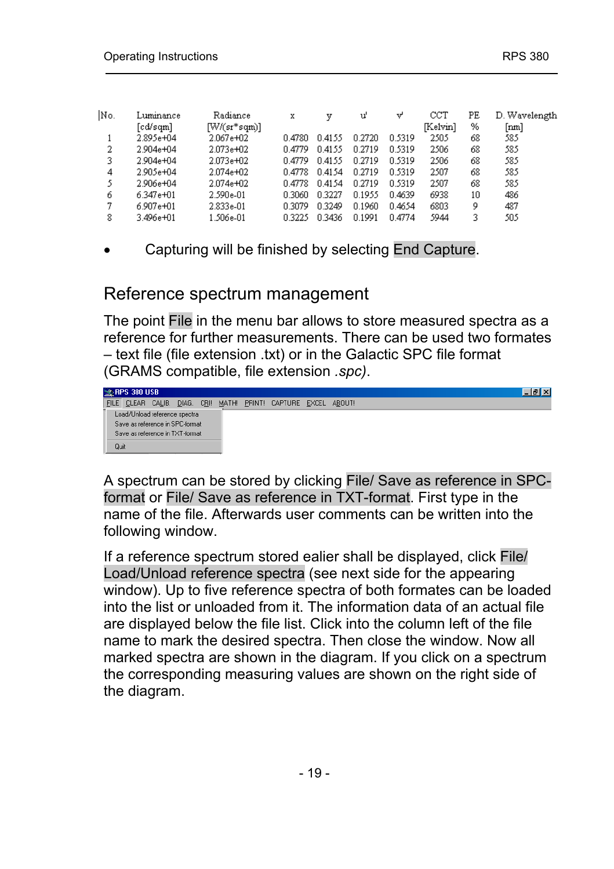<span id="page-18-0"></span>

| No. | Luminance | Radiance       | x      |        | u'     | v      | $_{\rm{CCT}}$ | PE | D. Wavelength |
|-----|-----------|----------------|--------|--------|--------|--------|---------------|----|---------------|
|     | [cd/sqm]  | $[W/(sr*sqm)]$ |        |        |        |        | [Kelvin]      | %  | [nm]          |
|     | 2.895e+04 | 2.067e+02      | በ 478በ | 0.4155 | 0.2720 | 0.5319 | 2505          | 68 | 585           |
| 2   | 2.904e+04 | 2.073e+02      | 0.4779 | 0.4155 | 0.2719 | 0.5319 | 2506          | 68 | 585           |
| 3.  | 2.904e+04 | 2.073e+02      | 0.4779 | 0.4155 | 0.2719 | 0.5319 | 2506          | 68 | 585           |
| 4   | 2.905e+04 | 2.074e+02      | 0.4778 | 0.4154 | 0.2719 | 0.5319 | 2507          | 68 | 585           |
|     | 2.906e+04 | 2.074e+02      | 0.4778 | 0.4154 | 0.2719 | 0.5319 | 2507          | 68 | 585           |
| 6   | 6.347e+01 | 2.590e-01      | 0.3060 | 0.3227 | 0.1955 | 0.4639 | 6938          | 10 | 486           |
|     | 6.907e+01 | 2.833e-01      | 0.3079 | 0.3249 | 0.1960 | 0.4654 | 6803          | 9  | 487           |
| 8   | 3.496e+01 | 1.506e-01      | 0.3225 | 0.3436 | 0.1991 | 0.4774 | 5944          |    | 505           |
|     |           |                |        |        |        |        |               |    |               |

• Capturing will be finished by selecting End Capture.

## Reference spectrum management

The point File in the menu bar allows to store measured spectra as a reference for further measurements. There can be used two formates  $-$  text file (file extension .txt) or in the Galactic SPC file format (GRAMS compatible, file extension *.spc)*.



A spectrum can be stored by clicking File/ Save as reference in SPCformat or File/ Save as reference in TXT-format. First type in the name of the file. Afterwards user comments can be written into the following window.

If a reference spectrum stored ealier shall be displayed, click File/ Load/Unload reference spectra (see next side for the appearing window). Up to five reference spectra of both formates can be loaded into the list or unloaded from it. The information data of an actual file are displayed below the file list. Click into the column left of the file name to mark the desired spectra. Then close the window. Now all marked spectra are shown in the diagram. If you click on a spectrum the corresponding measuring values are shown on the right side of the diagram.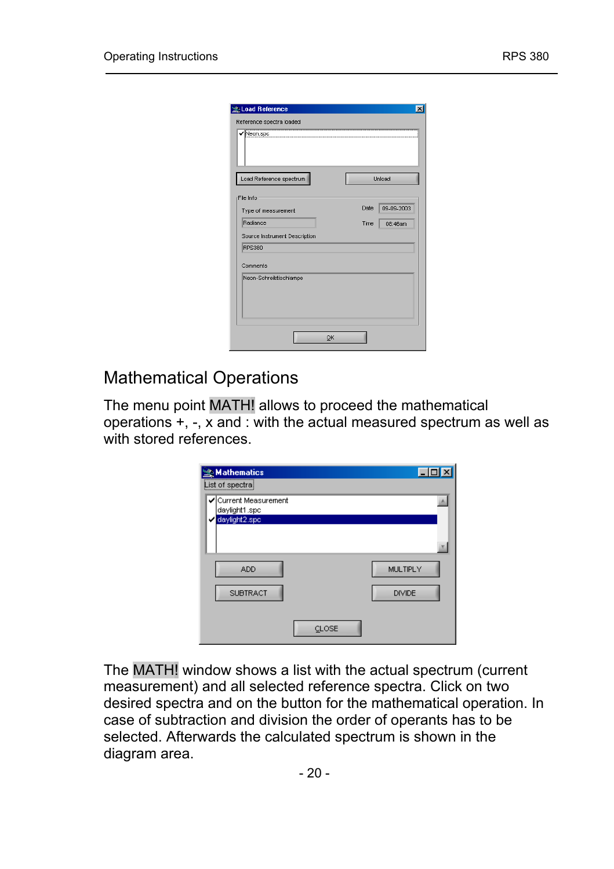<span id="page-19-0"></span>

| Load Reference                |    |      |               |
|-------------------------------|----|------|---------------|
| Reference spectra loaded      |    |      |               |
| Neon.spc                      |    |      |               |
| Load Reference spectrum       |    |      | <b>Unload</b> |
| File Info                     |    |      |               |
| Type of measurement           |    | Date | 09-09-2003    |
| Radiance                      |    | Time | 08:46am       |
| Source Instrument Description |    |      |               |
| <b>RPS380</b>                 |    |      |               |
| Comments                      |    |      |               |
| Neon-Schreibtischlampe        |    |      |               |
|                               |    |      |               |
|                               | OK |      |               |

## Mathematical Operations

The menu point MATH! allows to proceed the mathematical operations +, -, x and : with the actual measured spectrum as well as with stored references.

| <b>Mathematics</b><br>List of spectra                   |                           |
|---------------------------------------------------------|---------------------------|
| ✔ Current Measurement<br>daylight1.spc<br>daylight2.spc |                           |
| <b>ADD</b><br><b>SUBTRACT</b>                           | MULTIPLY<br><b>DIVIDE</b> |
|                                                         | CLOSE                     |

The MATH! window shows a list with the actual spectrum (current measurement) and all selected reference spectra. Click on two desired spectra and on the button for the mathematical operation. In case of subtraction and division the order of operants has to be selected. Afterwards the calculated spectrum is shown in the diagram area.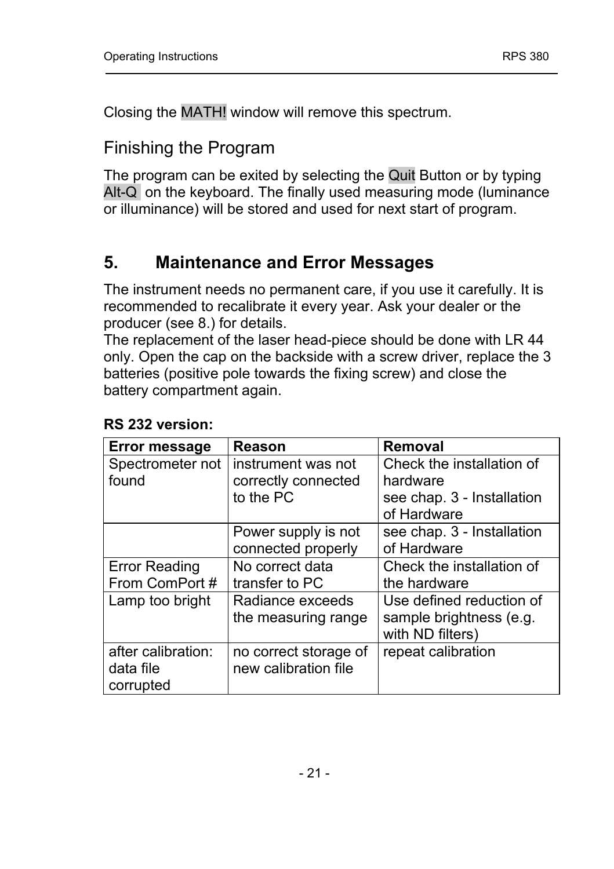<span id="page-20-0"></span>Closing the MATH! window will remove this spectrum.

## Finishing the Program

The program can be exited by selecting the Quit Button or by typing Alt-Q on the keyboard. The finally used measuring mode (luminance or illuminance) will be stored and used for next start of program.

## **5. Maintenance and Error Messages**

The instrument needs no permanent care, if you use it carefully. It is recommended to recalibrate it every year. Ask your dealer or the producer (see 8.) for details.

The replacement of the laser head-piece should be done with LR 44 only. Open the cap on the backside with a screw driver, replace the 3 batteries (positive pole towards the fixing screw) and close the battery compartment again.

| <b>Error message</b> | Reason                | Removal                    |
|----------------------|-----------------------|----------------------------|
| Spectrometer not     | instrument was not    | Check the installation of  |
| found                | correctly connected   | hardware                   |
|                      | to the PC             | see chap. 3 - Installation |
|                      |                       | of Hardware                |
|                      | Power supply is not   | see chap. 3 - Installation |
|                      | connected properly    | of Hardware                |
| <b>Error Reading</b> | No correct data       | Check the installation of  |
| From ComPort#        | transfer to PC        | the hardware               |
| Lamp too bright      | Radiance exceeds      | Use defined reduction of   |
|                      | the measuring range   | sample brightness (e.g.    |
|                      |                       | with ND filters)           |
| after calibration:   | no correct storage of | repeat calibration         |
| data file            | new calibration file  |                            |
| corrupted            |                       |                            |

#### **RS 232 version:**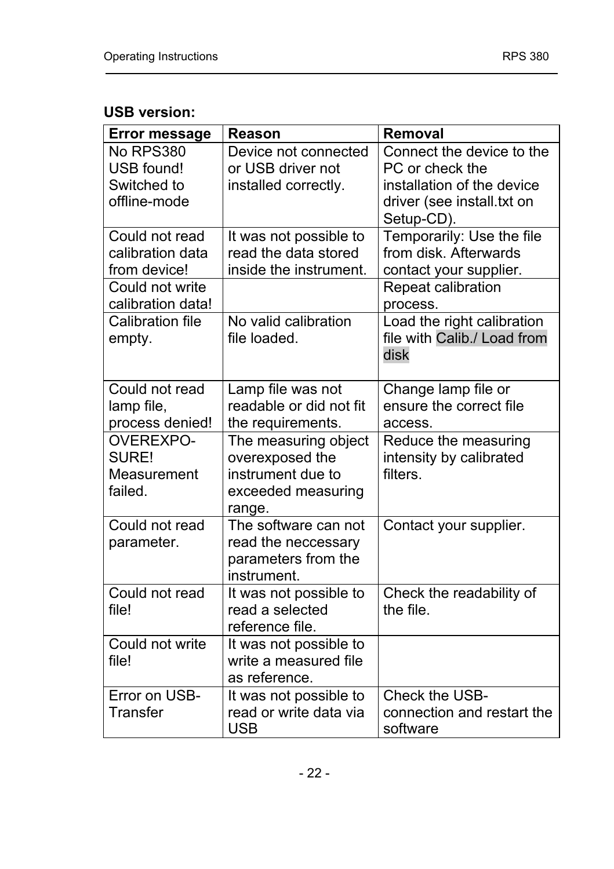### **USB version:**

| <b>Error message</b>                                | Reason                                                                                       | Removal                                                                      |
|-----------------------------------------------------|----------------------------------------------------------------------------------------------|------------------------------------------------------------------------------|
| No RPS380<br>USB found!<br>Switched to              | Device not connected<br>or USB driver not<br>installed correctly.                            | Connect the device to the<br>PC or check the<br>installation of the device   |
| offline-mode                                        |                                                                                              | driver (see install.txt on<br>Setup-CD).                                     |
| Could not read<br>calibration data<br>from device!  | It was not possible to<br>read the data stored<br>inside the instrument.                     | Temporarily: Use the file<br>from disk. Afterwards<br>contact your supplier. |
| Could not write<br>calibration data!                |                                                                                              | Repeat calibration<br>process.                                               |
| Calibration file<br>empty.                          | No valid calibration<br>file loaded.                                                         | Load the right calibration<br>file with Calib./ Load from<br>disk            |
| Could not read<br>lamp file,<br>process denied!     | Lamp file was not<br>readable or did not fit<br>the requirements.                            | Change lamp file or<br>ensure the correct file<br>access.                    |
| <b>OVEREXPO-</b><br>SURE!<br>Measurement<br>failed. | The measuring object<br>overexposed the<br>instrument due to<br>exceeded measuring<br>range. | Reduce the measuring<br>intensity by calibrated<br>filters.                  |
| Could not read<br>parameter.                        | The software can not<br>read the neccessary<br>parameters from the<br>instrument.            | Contact your supplier.                                                       |
| Could not read<br>file!                             | It was not possible to<br>read a selected<br>reference file.                                 | Check the readability of<br>the file.                                        |
| Could not write<br>file!                            | It was not possible to<br>write a measured file<br>as reference.                             |                                                                              |
| Error on USB-<br>Transfer                           | It was not possible to<br>read or write data via<br><b>USB</b>                               | Check the USB-<br>connection and restart the<br>software                     |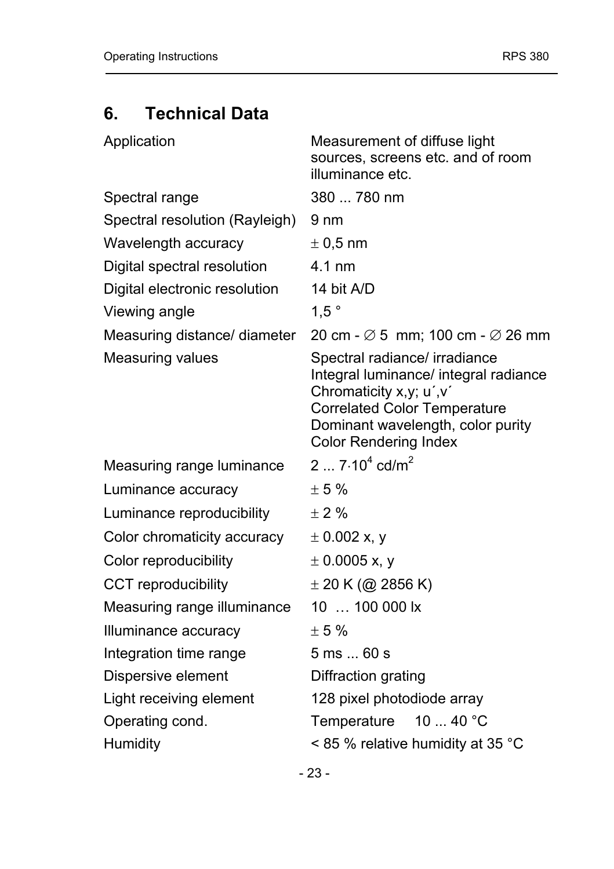## <span id="page-22-0"></span>**6. Technical Data**

| Application                    | Measurement of diffuse light<br>sources, screens etc. and of room<br>illuminance etc.                                                                                                                         |
|--------------------------------|---------------------------------------------------------------------------------------------------------------------------------------------------------------------------------------------------------------|
| Spectral range                 | 380  780 nm                                                                                                                                                                                                   |
| Spectral resolution (Rayleigh) | 9 nm                                                                                                                                                                                                          |
| Wavelength accuracy            | $\pm$ 0.5 nm                                                                                                                                                                                                  |
| Digital spectral resolution    | $4.1 \text{ nm}$                                                                                                                                                                                              |
| Digital electronic resolution  | 14 bit A/D                                                                                                                                                                                                    |
| Viewing angle                  | $1.5$ °                                                                                                                                                                                                       |
| Measuring distance/ diameter   | 20 cm - $\varnothing$ 5 mm; 100 cm - $\varnothing$ 26 mm                                                                                                                                                      |
| <b>Measuring values</b>        | Spectral radiance/ irradiance<br>Integral luminance/ integral radiance<br>Chromaticity x,y; u',v'<br><b>Correlated Color Temperature</b><br>Dominant wavelength, color purity<br><b>Color Rendering Index</b> |
| Measuring range luminance      | 2 $7.10^4$ cd/m <sup>2</sup>                                                                                                                                                                                  |
| Luminance accuracy             | ± 5%                                                                                                                                                                                                          |
| Luminance reproducibility      | ± 2%                                                                                                                                                                                                          |
| Color chromaticity accuracy    | $\pm$ 0.002 x, y                                                                                                                                                                                              |
| Color reproducibility          | $\pm$ 0.0005 x, y                                                                                                                                                                                             |
| CCT reproducibility            | $\pm$ 20 K (@ 2856 K)                                                                                                                                                                                         |
| Measuring range illuminance    | 10  100 000 lx                                                                                                                                                                                                |
| Illuminance accuracy           | ± 5%                                                                                                                                                                                                          |
| Integration time range         | 5 ms  60 s                                                                                                                                                                                                    |
| Dispersive element             | Diffraction grating                                                                                                                                                                                           |
| Light receiving element        | 128 pixel photodiode array                                                                                                                                                                                    |
| Operating cond.                | Temperature 10  40 °C                                                                                                                                                                                         |
| Humidity                       | < 85 % relative humidity at 35 °C                                                                                                                                                                             |